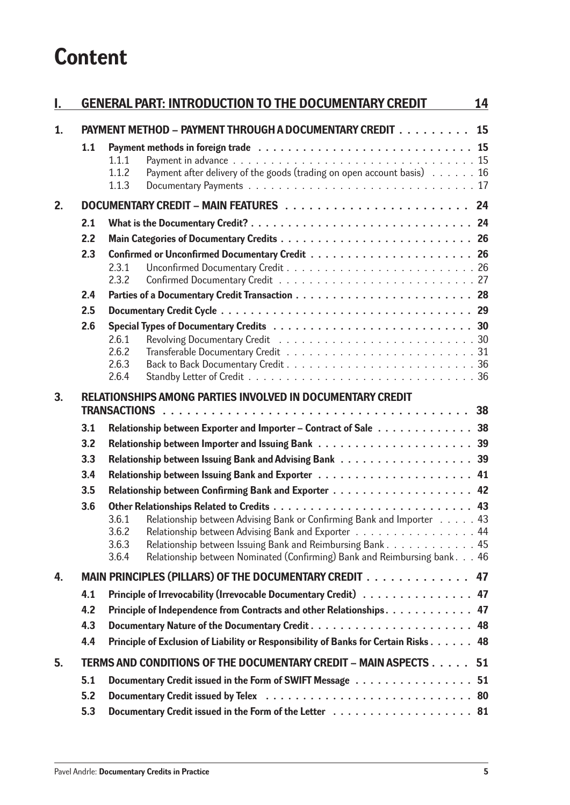## **Content**

| I. |                                                                     | <b>GENERAL PART: INTRODUCTION TO THE DOCUMENTARY CREDIT</b>                                                                                                                                                                                                                                               | 14 |  |  |  |
|----|---------------------------------------------------------------------|-----------------------------------------------------------------------------------------------------------------------------------------------------------------------------------------------------------------------------------------------------------------------------------------------------------|----|--|--|--|
| 1. |                                                                     | PAYMENT METHOD - PAYMENT THROUGH A DOCUMENTARY CREDIT 15                                                                                                                                                                                                                                                  |    |  |  |  |
|    | 1.1                                                                 | Payment in advance $\ldots \ldots \ldots \ldots \ldots \ldots \ldots \ldots \ldots \ldots \ldots$<br>1.1.1<br>Payment after delivery of the goods (trading on open account basis) $\ldots \ldots 16$<br>1.1.2<br>1.1.3                                                                                    |    |  |  |  |
| 2. |                                                                     |                                                                                                                                                                                                                                                                                                           |    |  |  |  |
|    | 2.1                                                                 |                                                                                                                                                                                                                                                                                                           |    |  |  |  |
|    | 2.2                                                                 |                                                                                                                                                                                                                                                                                                           |    |  |  |  |
|    | 2.3                                                                 | 2.3.1<br>2.3.2                                                                                                                                                                                                                                                                                            |    |  |  |  |
|    | 2.4                                                                 |                                                                                                                                                                                                                                                                                                           |    |  |  |  |
|    | 2.5                                                                 |                                                                                                                                                                                                                                                                                                           |    |  |  |  |
|    | 2.6                                                                 | 2.6.1<br>2.6.2<br>2.6.3<br>2.6.4                                                                                                                                                                                                                                                                          |    |  |  |  |
| 3. |                                                                     | RELATIONSHIPS AMONG PARTIES INVOLVED IN DOCUMENTARY CREDIT                                                                                                                                                                                                                                                |    |  |  |  |
|    |                                                                     |                                                                                                                                                                                                                                                                                                           |    |  |  |  |
|    | 3.1                                                                 | Relationship between Exporter and Importer - Contract of Sale 38                                                                                                                                                                                                                                          |    |  |  |  |
|    | 3.2                                                                 |                                                                                                                                                                                                                                                                                                           |    |  |  |  |
|    | 3.3                                                                 |                                                                                                                                                                                                                                                                                                           |    |  |  |  |
|    | 3.4<br>3.5                                                          |                                                                                                                                                                                                                                                                                                           |    |  |  |  |
|    | 3.6                                                                 |                                                                                                                                                                                                                                                                                                           |    |  |  |  |
|    |                                                                     | Relationship between Advising Bank or Confirming Bank and Importer 43<br>3.6.1<br>Relationship between Advising Bank and Exporter 44<br>3.6.2<br>Relationship between Issuing Bank and Reimbursing Bank 45<br>3.6.3<br>Relationship between Nominated (Confirming) Bank and Reimbursing bank. 46<br>3.6.4 |    |  |  |  |
| 4. |                                                                     | MAIN PRINCIPLES (PILLARS) OF THE DOCUMENTARY CREDIT                                                                                                                                                                                                                                                       | 47 |  |  |  |
|    | 4.1                                                                 | Principle of Irrevocability (Irrevocable Documentary Credit) 47                                                                                                                                                                                                                                           |    |  |  |  |
|    | 4.2                                                                 | Principle of Independence from Contracts and other Relationships 47                                                                                                                                                                                                                                       |    |  |  |  |
|    | 4.3                                                                 | 48                                                                                                                                                                                                                                                                                                        |    |  |  |  |
|    | 4.4                                                                 | Principle of Exclusion of Liability or Responsibility of Banks for Certain Risks 48                                                                                                                                                                                                                       |    |  |  |  |
| 5. | TERMS AND CONDITIONS OF THE DOCUMENTARY CREDIT - MAIN ASPECTS<br>51 |                                                                                                                                                                                                                                                                                                           |    |  |  |  |
|    | 5.1                                                                 | Documentary Credit issued in the Form of SWIFT Message 51                                                                                                                                                                                                                                                 |    |  |  |  |
|    | 5.2                                                                 |                                                                                                                                                                                                                                                                                                           |    |  |  |  |
|    | 5.3                                                                 |                                                                                                                                                                                                                                                                                                           |    |  |  |  |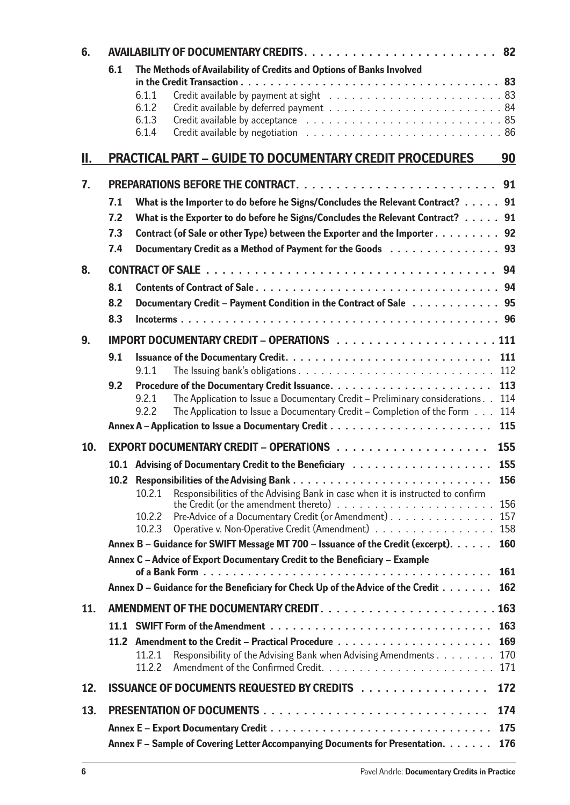| 6.  |                                                                                     |                                                                                                                                                      |  |  |
|-----|-------------------------------------------------------------------------------------|------------------------------------------------------------------------------------------------------------------------------------------------------|--|--|
|     | 6.1                                                                                 | The Methods of Availability of Credits and Options of Banks Involved<br>6.1.1<br>6.1.2<br>6.1.3<br>6.1.4                                             |  |  |
| II. |                                                                                     | <b>PRACTICAL PART - GUIDE TO DOCUMENTARY CREDIT PROCEDURES</b><br>90                                                                                 |  |  |
| 7.  |                                                                                     |                                                                                                                                                      |  |  |
|     | 7.1                                                                                 | What is the Importer to do before he Signs/Concludes the Relevant Contract? 91                                                                       |  |  |
|     | 7.2                                                                                 | What is the Exporter to do before he Signs/Concludes the Relevant Contract? 91                                                                       |  |  |
|     | 7.3                                                                                 | Contract (of Sale or other Type) between the Exporter and the Importer 92                                                                            |  |  |
|     | 7.4                                                                                 | Documentary Credit as a Method of Payment for the Goods 93                                                                                           |  |  |
| 8.  |                                                                                     |                                                                                                                                                      |  |  |
|     | 8.1                                                                                 |                                                                                                                                                      |  |  |
|     | 8.2                                                                                 | Documentary Credit - Payment Condition in the Contract of Sale 95                                                                                    |  |  |
|     | 8.3                                                                                 |                                                                                                                                                      |  |  |
| 9.  |                                                                                     |                                                                                                                                                      |  |  |
|     | 9.1                                                                                 | 111<br>112<br>9.1.1                                                                                                                                  |  |  |
|     | 9.2                                                                                 | 113                                                                                                                                                  |  |  |
|     |                                                                                     | The Application to Issue a Documentary Credit - Preliminary considerations<br>114<br>9.2.1                                                           |  |  |
|     |                                                                                     | 9.2.2<br>The Application to Issue a Documentary Credit – Completion of the Form<br>114<br>115                                                        |  |  |
|     |                                                                                     |                                                                                                                                                      |  |  |
| 10. |                                                                                     | 155                                                                                                                                                  |  |  |
|     |                                                                                     | 155<br>10.1 Advising of Documentary Credit to the Beneficiary                                                                                        |  |  |
|     |                                                                                     | 156<br>10.2 Responsibilities of the Advising Bank<br>Responsibilities of the Advising Bank in case when it is instructed to confirm<br>10.2.1<br>156 |  |  |
|     |                                                                                     | Pre-Advice of a Documentary Credit (or Amendment)<br>157<br>10.2.2                                                                                   |  |  |
|     |                                                                                     | Operative v. Non-Operative Credit (Amendment)<br>158<br>10.2.3                                                                                       |  |  |
|     |                                                                                     | Annex B – Guidance for SWIFT Message MT 700 – Issuance of the Credit (excerpt).<br>160                                                               |  |  |
|     | Annex C - Advice of Export Documentary Credit to the Beneficiary - Example          |                                                                                                                                                      |  |  |
|     |                                                                                     | 161<br>Annex D – Guidance for the Beneficiary for Check Up of the Advice of the Credit<br>162                                                        |  |  |
|     |                                                                                     |                                                                                                                                                      |  |  |
| 11. |                                                                                     | 163                                                                                                                                                  |  |  |
|     |                                                                                     | 163                                                                                                                                                  |  |  |
|     |                                                                                     | 169<br>170<br>11.2.1<br>Responsibility of the Advising Bank when Advising Amendments                                                                 |  |  |
|     |                                                                                     | 11.2.2<br>171                                                                                                                                        |  |  |
| 12. |                                                                                     | <b>ISSUANCE OF DOCUMENTS REQUESTED BY CREDITS </b><br>172                                                                                            |  |  |
| 13. | 174                                                                                 |                                                                                                                                                      |  |  |
|     |                                                                                     | 175                                                                                                                                                  |  |  |
|     | Annex F – Sample of Covering Letter Accompanying Documents for Presentation.<br>176 |                                                                                                                                                      |  |  |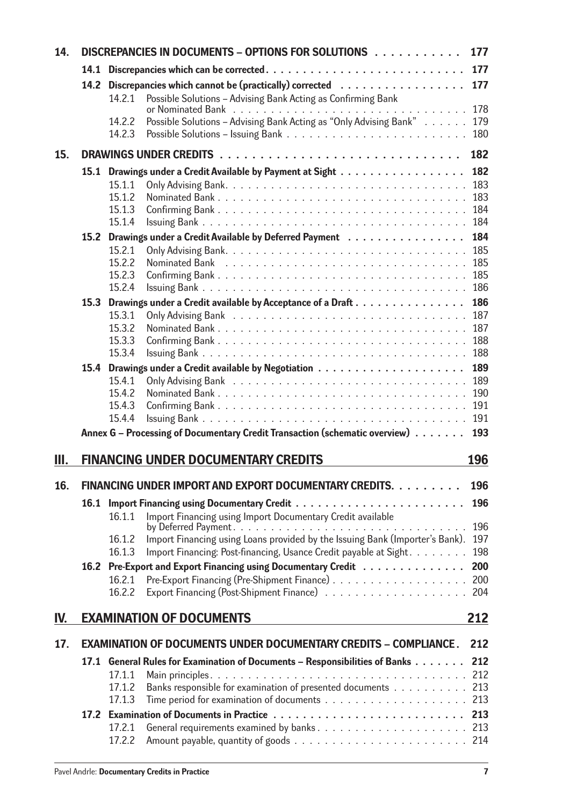| 14. | DISCREPANCIES IN DOCUMENTS - OPTIONS FOR SOLUTIONS<br>177 |                  |                                                                                                                                                   |            |  |
|-----|-----------------------------------------------------------|------------------|---------------------------------------------------------------------------------------------------------------------------------------------------|------------|--|
|     | 14.1                                                      |                  |                                                                                                                                                   | 177        |  |
|     | 14.2                                                      |                  | Discrepancies which cannot be (practically) corrected                                                                                             | 177        |  |
|     |                                                           | 14.2.1           | Possible Solutions - Advising Bank Acting as Confirming Bank                                                                                      | 178        |  |
|     |                                                           | 14.2.2           | Possible Solutions - Advising Bank Acting as "Only Advising Bank"                                                                                 | 179        |  |
|     |                                                           | 14.2.3           |                                                                                                                                                   | 180        |  |
| 15. |                                                           |                  |                                                                                                                                                   | 182        |  |
|     |                                                           |                  | 15.1 Drawings under a Credit Available by Payment at Sight                                                                                        | 182        |  |
|     |                                                           | 15.1.1           |                                                                                                                                                   | 183        |  |
|     |                                                           | 15.1.2           |                                                                                                                                                   | 183        |  |
|     |                                                           | 15.1.3           |                                                                                                                                                   | 184        |  |
|     |                                                           | 15.1.4           |                                                                                                                                                   | 184        |  |
|     |                                                           | 15.2.1           | 15.2 Drawings under a Credit Available by Deferred Payment                                                                                        | 184<br>185 |  |
|     |                                                           | 15.2.2           |                                                                                                                                                   | 185        |  |
|     |                                                           | 15.2.3           |                                                                                                                                                   | 185        |  |
|     |                                                           | 15.2.4           |                                                                                                                                                   | 186        |  |
|     | 15.3                                                      |                  | Drawings under a Credit available by Acceptance of a Draft                                                                                        | 186        |  |
|     |                                                           | 15.3.1           |                                                                                                                                                   | 187        |  |
|     |                                                           | 15.3.2<br>15.3.3 |                                                                                                                                                   | 187<br>188 |  |
|     |                                                           | 15.3.4           |                                                                                                                                                   | 188        |  |
|     |                                                           |                  |                                                                                                                                                   | 189        |  |
|     |                                                           | 15.4.1           |                                                                                                                                                   | 189        |  |
|     |                                                           | 15.4.2           |                                                                                                                                                   | 190        |  |
|     |                                                           | 15.4.3           |                                                                                                                                                   | 191        |  |
|     |                                                           | 15.4.4           |                                                                                                                                                   | 191        |  |
|     |                                                           |                  | Annex G - Processing of Documentary Credit Transaction (schematic overview)                                                                       | 193        |  |
| Ш.  |                                                           |                  | <b>FINANCING UNDER DOCUMENTARY CREDITS</b>                                                                                                        | 196        |  |
| 16. |                                                           |                  | FINANCING UNDER IMPORT AND EXPORT DOCUMENTARY CREDITS.                                                                                            | 196        |  |
|     | 16.1                                                      |                  |                                                                                                                                                   | 196        |  |
|     |                                                           | 16.1.1           | Import Financing using Import Documentary Credit available                                                                                        |            |  |
|     |                                                           |                  |                                                                                                                                                   | 196        |  |
|     |                                                           | 16.1.2<br>16.1.3 | Import Financing using Loans provided by the Issuing Bank (Importer's Bank).<br>Import Financing: Post-financing, Usance Credit payable at Sight. | 197<br>198 |  |
|     |                                                           |                  | 16.2 Pre-Export and Export Financing using Documentary Credit                                                                                     | 200        |  |
|     |                                                           | 16.2.1           |                                                                                                                                                   | 200        |  |
|     |                                                           | 16.2.2           |                                                                                                                                                   | 204        |  |
| IV. |                                                           |                  | <b>EXAMINATION OF DOCUMENTS</b>                                                                                                                   | 212        |  |
| 17. |                                                           |                  | <b>EXAMINATION OF DOCUMENTS UNDER DOCUMENTARY CREDITS - COMPLIANCE.</b>                                                                           | 212        |  |
|     | 17.1                                                      |                  | General Rules for Examination of Documents - Responsibilities of Banks                                                                            | 212        |  |
|     |                                                           | 17.1.1           |                                                                                                                                                   | 212        |  |
|     |                                                           | 17.1.2           | Banks responsible for examination of presented documents                                                                                          | 213        |  |
|     |                                                           | 17.1.3           |                                                                                                                                                   | 213        |  |
|     |                                                           |                  |                                                                                                                                                   |            |  |
|     |                                                           | 17.2.1           |                                                                                                                                                   |            |  |
|     |                                                           | 17.2.2           |                                                                                                                                                   |            |  |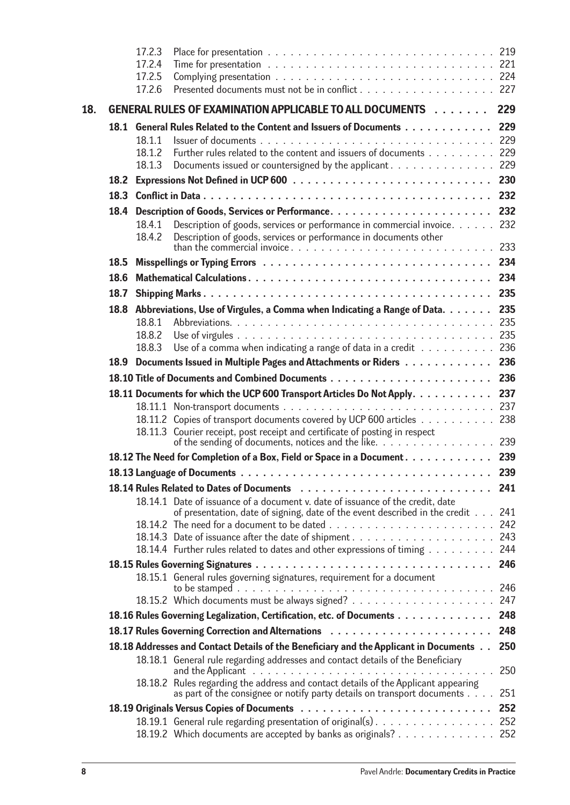|     |                   | 17.2.3           |                                                                                                                                                                                     |            |
|-----|-------------------|------------------|-------------------------------------------------------------------------------------------------------------------------------------------------------------------------------------|------------|
|     |                   | 17.2.4           |                                                                                                                                                                                     |            |
|     |                   | 17.2.5           |                                                                                                                                                                                     |            |
|     |                   | 17.2.6           | Presented documents must not be in conflict 227                                                                                                                                     |            |
| 18. |                   |                  | GENERAL RULES OF EXAMINATION APPLICABLE TO ALL DOCUMENTS                                                                                                                            | 229        |
|     |                   |                  | 18.1 General Rules Related to the Content and Issuers of Documents                                                                                                                  | 229        |
|     |                   | 18.1.1           |                                                                                                                                                                                     | 229        |
|     |                   | 18.1.2           | Further rules related to the content and issuers of documents 229                                                                                                                   |            |
|     |                   | 18.1.3           | Documents issued or countersigned by the applicant 229                                                                                                                              |            |
|     | 18.2 <sub>1</sub> |                  |                                                                                                                                                                                     |            |
|     |                   |                  |                                                                                                                                                                                     | 232        |
|     | 18.4              |                  |                                                                                                                                                                                     | 232        |
|     |                   | 18.4.1<br>18.4.2 | Description of goods, services or performance in commercial invoice.<br>Description of goods, services or performance in documents other                                            | 232<br>233 |
|     | 18.5              |                  |                                                                                                                                                                                     | 234        |
|     | 18.6              |                  |                                                                                                                                                                                     | 234        |
|     | 18.7              |                  |                                                                                                                                                                                     | 235        |
|     |                   |                  | 18.8 Abbreviations, Use of Virgules, a Comma when Indicating a Range of Data.                                                                                                       | 235        |
|     |                   | 18.8.1           |                                                                                                                                                                                     | 235        |
|     |                   | 18.8.2           |                                                                                                                                                                                     | 235        |
|     |                   | 18.8.3           | Use of a comma when indicating a range of data in a credit $\dots \dots \dots$                                                                                                      | 236        |
|     |                   |                  | 18.9 Documents Issued in Multiple Pages and Attachments or Riders 236                                                                                                               |            |
|     |                   |                  |                                                                                                                                                                                     | 236        |
|     |                   |                  | 18.11 Documents for which the UCP 600 Transport Articles Do Not Apply.                                                                                                              | 237        |
|     |                   |                  |                                                                                                                                                                                     |            |
|     |                   |                  | 18.11.2 Copies of transport documents covered by UCP 600 articles 238                                                                                                               |            |
|     |                   |                  | 18.11.3 Courier receipt, post receipt and certificate of posting in respect<br>of the sending of documents, notices and the like. 239                                               |            |
|     |                   |                  | 18.12 The Need for Completion of a Box, Field or Space in a Document.                                                                                                               | 239        |
|     |                   |                  |                                                                                                                                                                                     | 239        |
|     |                   |                  |                                                                                                                                                                                     |            |
|     |                   |                  | 18.14.1 Date of issuance of a document v. date of issuance of the credit, date                                                                                                      |            |
|     |                   |                  | of presentation, date of signing, date of the event described in the credit 241                                                                                                     |            |
|     |                   |                  |                                                                                                                                                                                     |            |
|     |                   |                  | 18.14.4 Further rules related to dates and other expressions of timing                                                                                                              | 244        |
|     |                   |                  |                                                                                                                                                                                     | 246        |
|     |                   |                  | 18.15.1 General rules governing signatures, requirement for a document                                                                                                              | 246        |
|     |                   |                  |                                                                                                                                                                                     |            |
|     |                   |                  | 18.16 Rules Governing Legalization, Certification, etc. of Documents                                                                                                                | 248        |
|     |                   |                  | 18.17 Rules Governing Correction and Alternations                                                                                                                                   | 248        |
|     |                   |                  | 18.18 Addresses and Contact Details of the Beneficiary and the Applicant in Documents                                                                                               | 250        |
|     |                   |                  | 18.18.1 General rule regarding addresses and contact details of the Beneficiary<br>and the Applicant $\ldots \ldots \ldots \ldots \ldots \ldots \ldots \ldots \ldots \ldots \ldots$ | 250        |
|     |                   |                  | 18.18.2 Rules regarding the address and contact details of the Applicant appearing<br>as part of the consignee or notify party details on transport documents                       | 251        |
|     |                   |                  |                                                                                                                                                                                     | 252        |
|     |                   |                  | 18.19.1 General rule regarding presentation of original(s) 252                                                                                                                      |            |
|     |                   |                  | 18.19.2 Which documents are accepted by banks as originals? 252                                                                                                                     |            |